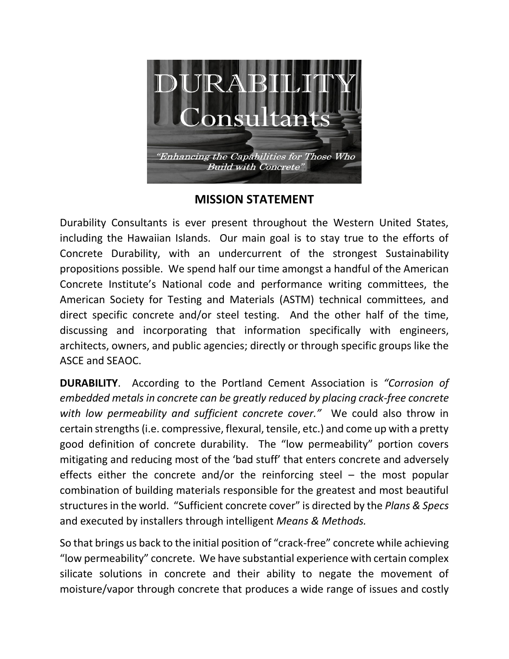

**MISSION STATEMENT**

Durability Consultants is ever present throughout the Western United States, including the Hawaiian Islands. Our main goal is to stay true to the efforts of Concrete Durability, with an undercurrent of the strongest Sustainability propositions possible. We spend half our time amongst a handful of the American Concrete Institute's National code and performance writing committees, the American Society for Testing and Materials (ASTM) technical committees, and direct specific concrete and/or steel testing. And the other half of the time, discussing and incorporating that information specifically with engineers, architects, owners, and public agencies; directly or through specific groups like the ASCE and SEAOC.

**DURABILITY**. According to the Portland Cement Association is *"Corrosion of embedded metals in concrete can be greatly reduced by placing crack-free concrete with low permeability and sufficient concrete cover."* We could also throw in certain strengths (i.e. compressive, flexural, tensile, etc.) and come up with a pretty good definition of concrete durability. The "low permeability" portion covers mitigating and reducing most of the 'bad stuff' that enters concrete and adversely effects either the concrete and/or the reinforcing steel – the most popular combination of building materials responsible for the greatest and most beautiful structures in the world. "Sufficient concrete cover" is directed by the *Plans & Specs* and executed by installers through intelligent *Means & Methods.*

So that brings us back to the initial position of "crack-free" concrete while achieving "low permeability" concrete. We have substantial experience with certain complex silicate solutions in concrete and their ability to negate the movement of moisture/vapor through concrete that produces a wide range of issues and costly